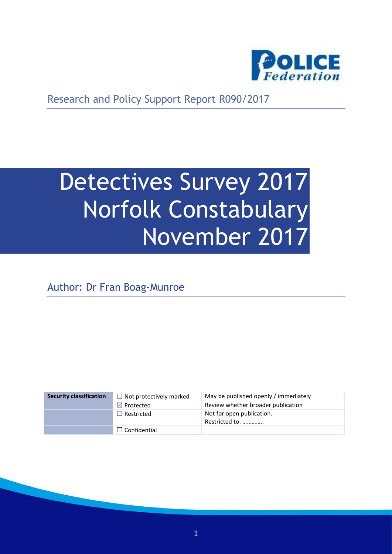

Research and Policy Support Report R090/2017

# Detectives Survey 2017 Norfolk Constabulary November 2017

Author: Dr Fran Boag-Munroe

| <b>Security classification</b> | $\Box$ Not protectively marked | May be published openly / immediately       |
|--------------------------------|--------------------------------|---------------------------------------------|
|                                | $\boxtimes$ Protected          | Review whether broader publication          |
|                                | $\Box$ Restricted              | Not for open publication.<br>Restricted to: |
|                                | $\Box$ Confidential            |                                             |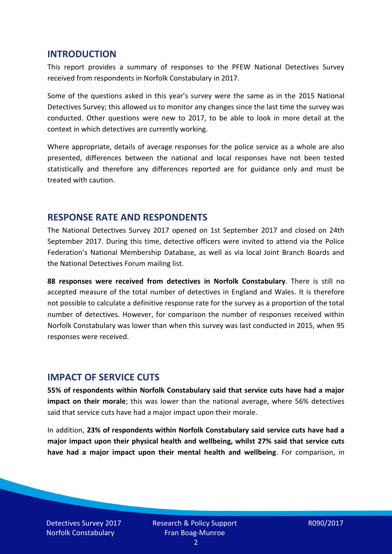#### **INTRODUCTION**

This report provides a summary of responses to the PFEW National Detectives Survey received from respondents in Norfolk Constabulary in 2017.

Some of the questions asked in this year's survey were the same as in the 2015 National Detectives Survey; this allowed us to monitor any changes since the last time the survey was conducted. Other questions were new to 2017, to be able to look in more detail at the context in which detectives are currently working.

Where appropriate, details of average responses for the police service as a whole are also presented, differences between the national and local responses have not been tested statistically and therefore any differences reported are for guidance only and must be treated with caution.

#### **RESPONSE RATE AND RESPONDENTS**

The National Detectives Survey 2017 opened on 1st September 2017 and closed on 24th September 2017. During this time, detective officers were invited to attend via the Police Federation's National Membership Database, as well as via local Joint Branch Boards and the National Detectives Forum mailing list.

**88 responses were received from detectives in Norfolk Constabulary**. There is still no accepted measure of the total number of detectives in England and Wales. It is therefore not possible to calculate a definitive response rate for the survey as a proportion of the total number of detectives. However, for comparison the number of responses received within Norfolk Constabulary was lower than when this survey was last conducted in 2015, when 95 responses were received.

## **IMPACT OF SERVICE CUTS**

**55% of respondents within Norfolk Constabulary said that service cuts have had a major impact on their morale**; this was lower than the national average, where 56% detectives said that service cuts have had a major impact upon their morale.

In addition, **23% of respondents within Norfolk Constabulary said service cuts have had a major impact upon their physical health and wellbeing, whilst 27% said that service cuts have had a major impact upon their mental health and wellbeing**. For comparison, in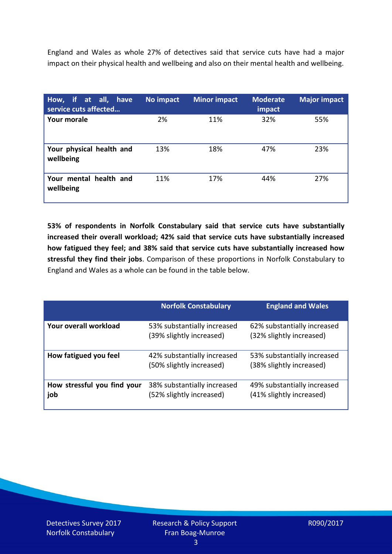England and Wales as whole 27% of detectives said that service cuts have had a major impact on their physical health and wellbeing and also on their mental health and wellbeing.

| How, if at all, have<br>service cuts affected | No impact | <b>Minor impact</b> | <b>Moderate</b><br>impact | <b>Major impact</b> |
|-----------------------------------------------|-----------|---------------------|---------------------------|---------------------|
| <b>Your morale</b>                            | 2%        | 11%                 | 32%                       | 55%                 |
| Your physical health and<br>wellbeing         | 13%       | 18%                 | 47%                       | 23%                 |
| Your mental health and<br>wellbeing           | 11%       | 17%                 | 44%                       | 27%                 |

**53% of respondents in Norfolk Constabulary said that service cuts have substantially increased their overall workload; 42% said that service cuts have substantially increased how fatigued they feel; and 38% said that service cuts have substantially increased how stressful they find their jobs**. Comparison of these proportions in Norfolk Constabulary to England and Wales as a whole can be found in the table below.

|                                    | <b>Norfolk Constabulary</b>                             | <b>England and Wales</b>                                |
|------------------------------------|---------------------------------------------------------|---------------------------------------------------------|
| Your overall workload              | 53% substantially increased<br>(39% slightly increased) | 62% substantially increased<br>(32% slightly increased) |
| How fatigued you feel              | 42% substantially increased<br>(50% slightly increased) | 53% substantially increased<br>(38% slightly increased) |
| How stressful you find your<br>job | 38% substantially increased<br>(52% slightly increased) | 49% substantially increased<br>(41% slightly increased) |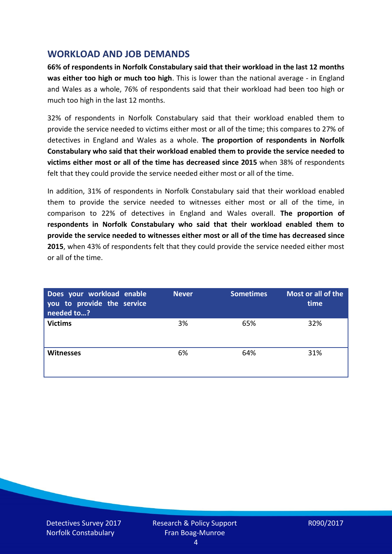## **WORKLOAD AND JOB DEMANDS**

**66% of respondents in Norfolk Constabulary said that their workload in the last 12 months was either too high or much too high**. This is lower than the national average - in England and Wales as a whole, 76% of respondents said that their workload had been too high or much too high in the last 12 months.

32% of respondents in Norfolk Constabulary said that their workload enabled them to provide the service needed to victims either most or all of the time; this compares to 27% of detectives in England and Wales as a whole. **The proportion of respondents in Norfolk Constabulary who said that their workload enabled them to provide the service needed to victims either most or all of the time has decreased since 2015** when 38% of respondents felt that they could provide the service needed either most or all of the time.

In addition, 31% of respondents in Norfolk Constabulary said that their workload enabled them to provide the service needed to witnesses either most or all of the time, in comparison to 22% of detectives in England and Wales overall. **The proportion of respondents in Norfolk Constabulary who said that their workload enabled them to provide the service needed to witnesses either most or all of the time has decreased since 2015**, when 43% of respondents felt that they could provide the service needed either most or all of the time.

| Does your workload enable<br>you to provide the service<br>needed to? | <b>Never</b> | <b>Sometimes</b> | Most or all of the<br>time |
|-----------------------------------------------------------------------|--------------|------------------|----------------------------|
| <b>Victims</b>                                                        | 3%           | 65%              | 32%                        |
| <b>Witnesses</b>                                                      | 6%           | 64%              | 31%                        |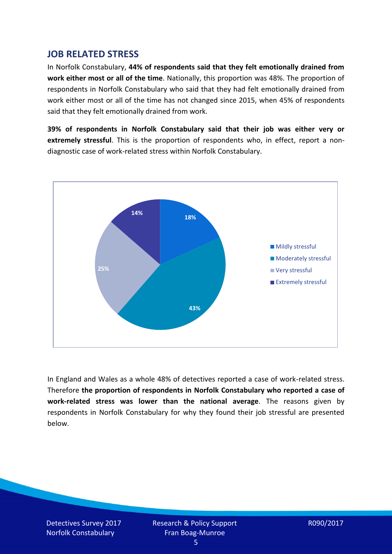#### **JOB RELATED STRESS**

In Norfolk Constabulary, **44% of respondents said that they felt emotionally drained from work either most or all of the time**. Nationally, this proportion was 48%. The proportion of respondents in Norfolk Constabulary who said that they had felt emotionally drained from work either most or all of the time has not changed since 2015, when 45% of respondents said that they felt emotionally drained from work.

**39% of respondents in Norfolk Constabulary said that their job was either very or extremely stressful**. This is the proportion of respondents who, in effect, report a nondiagnostic case of work-related stress within Norfolk Constabulary.



In England and Wales as a whole 48% of detectives reported a case of work-related stress. Therefore **the proportion of respondents in Norfolk Constabulary who reported a case of work-related stress was lower than the national average**. The reasons given by respondents in Norfolk Constabulary for why they found their job stressful are presented below.

Detectives Survey 2017 Norfolk Constabulary

Research & Policy Support Fran Boag-Munroe

R090/2017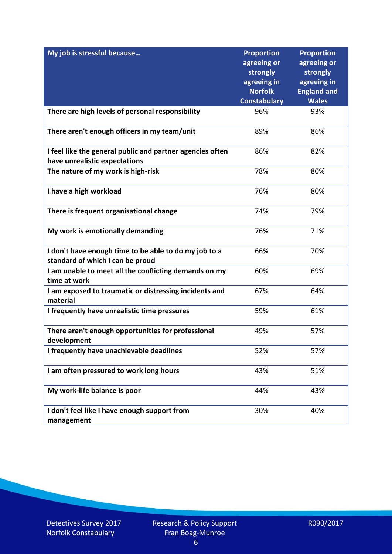| My job is stressful because                                                                | <b>Proportion</b><br>agreeing or | <b>Proportion</b><br>agreeing or |
|--------------------------------------------------------------------------------------------|----------------------------------|----------------------------------|
|                                                                                            | strongly                         | strongly                         |
|                                                                                            | agreeing in                      | agreeing in                      |
|                                                                                            | <b>Norfolk</b>                   | <b>England and</b>               |
|                                                                                            | <b>Constabulary</b>              | <b>Wales</b>                     |
| There are high levels of personal responsibility                                           | 96%                              | 93%                              |
| There aren't enough officers in my team/unit                                               | 89%                              | 86%                              |
| I feel like the general public and partner agencies often<br>have unrealistic expectations | 86%                              | 82%                              |
| The nature of my work is high-risk                                                         | 78%                              | 80%                              |
| I have a high workload                                                                     | 76%                              | 80%                              |
| There is frequent organisational change                                                    | 74%                              | 79%                              |
| My work is emotionally demanding                                                           | 76%                              | 71%                              |
| I don't have enough time to be able to do my job to a<br>standard of which I can be proud  | 66%                              | 70%                              |
| I am unable to meet all the conflicting demands on my<br>time at work                      | 60%                              | 69%                              |
| I am exposed to traumatic or distressing incidents and<br>material                         | 67%                              | 64%                              |
| I frequently have unrealistic time pressures                                               | 59%                              | 61%                              |
| There aren't enough opportunities for professional<br>development                          | 49%                              | 57%                              |
| I frequently have unachievable deadlines                                                   | 52%                              | 57%                              |
| I am often pressured to work long hours                                                    | 43%                              | 51%                              |
| My work-life balance is poor                                                               | 44%                              | 43%                              |
| I don't feel like I have enough support from<br>management                                 | 30%                              | 40%                              |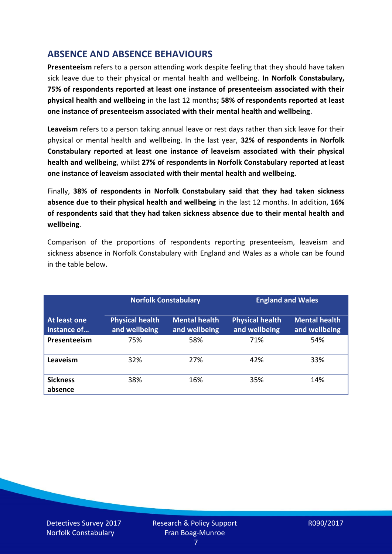## **ABSENCE AND ABSENCE BEHAVIOURS**

**Presenteeism** refers to a person attending work despite feeling that they should have taken sick leave due to their physical or mental health and wellbeing. **In Norfolk Constabulary, 75% of respondents reported at least one instance of presenteeism associated with their physical health and wellbeing** in the last 12 months**; 58% of respondents reported at least one instance of presenteeism associated with their mental health and wellbeing**.

**Leaveism** refers to a person taking annual leave or rest days rather than sick leave for their physical or mental health and wellbeing. In the last year, **32% of respondents in Norfolk Constabulary reported at least one instance of leaveism associated with their physical health and wellbeing**, whilst **27% of respondents in Norfolk Constabulary reported at least one instance of leaveism associated with their mental health and wellbeing.**

Finally, **38% of respondents in Norfolk Constabulary said that they had taken sickness absence due to their physical health and wellbeing** in the last 12 months. In addition, **16% of respondents said that they had taken sickness absence due to their mental health and wellbeing**.

Comparison of the proportions of respondents reporting presenteeism, leaveism and sickness absence in Norfolk Constabulary with England and Wales as a whole can be found in the table below.

|                             |                                         | <b>Norfolk Constabulary</b>           |                                         | <b>England and Wales</b>              |
|-----------------------------|-----------------------------------------|---------------------------------------|-----------------------------------------|---------------------------------------|
| At least one<br>instance of | <b>Physical health</b><br>and wellbeing | <b>Mental health</b><br>and wellbeing | <b>Physical health</b><br>and wellbeing | <b>Mental health</b><br>and wellbeing |
| Presenteeism                | 75%                                     | 58%                                   | 71%                                     | 54%                                   |
| Leaveism                    | 32%                                     | 27%                                   | 42%                                     | 33%                                   |
| <b>Sickness</b><br>absence  | 38%                                     | 16%                                   | 35%                                     | 14%                                   |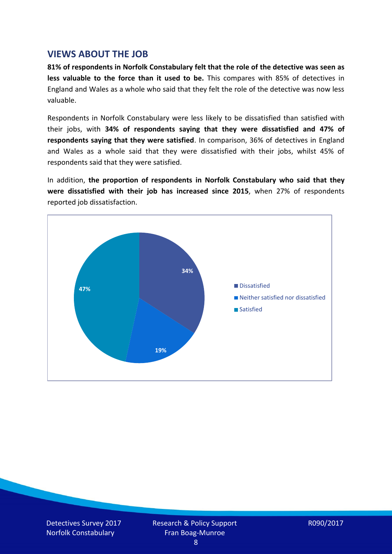#### **VIEWS ABOUT THE JOB**

**81% of respondents in Norfolk Constabulary felt that the role of the detective was seen as less valuable to the force than it used to be.** This compares with 85% of detectives in England and Wales as a whole who said that they felt the role of the detective was now less valuable.

Respondents in Norfolk Constabulary were less likely to be dissatisfied than satisfied with their jobs, with **34% of respondents saying that they were dissatisfied and 47% of respondents saying that they were satisfied**. In comparison, 36% of detectives in England and Wales as a whole said that they were dissatisfied with their jobs, whilst 45% of respondents said that they were satisfied.

In addition, **the proportion of respondents in Norfolk Constabulary who said that they were dissatisfied with their job has increased since 2015**, when 27% of respondents reported job dissatisfaction.



Detectives Survey 2017 Norfolk Constabulary

Research & Policy Support Fran Boag-Munroe

R090/2017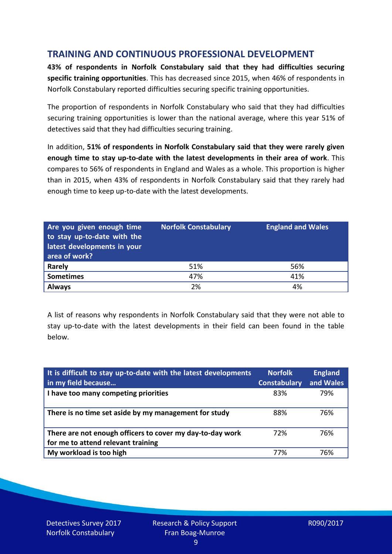## **TRAINING AND CONTINUOUS PROFESSIONAL DEVELOPMENT**

**43% of respondents in Norfolk Constabulary said that they had difficulties securing specific training opportunities**. This has decreased since 2015, when 46% of respondents in Norfolk Constabulary reported difficulties securing specific training opportunities.

The proportion of respondents in Norfolk Constabulary who said that they had difficulties securing training opportunities is lower than the national average, where this year 51% of detectives said that they had difficulties securing training.

In addition, **51% of respondents in Norfolk Constabulary said that they were rarely given enough time to stay up-to-date with the latest developments in their area of work**. This compares to 56% of respondents in England and Wales as a whole. This proportion is higher than in 2015, when 43% of respondents in Norfolk Constabulary said that they rarely had enough time to keep up-to-date with the latest developments.

| Are you given enough time<br>to stay up-to-date with the<br>latest developments in your<br>area of work? | <b>Norfolk Constabulary</b> | <b>England and Wales</b> |
|----------------------------------------------------------------------------------------------------------|-----------------------------|--------------------------|
| <b>Rarely</b>                                                                                            | 51%                         | 56%                      |
| <b>Sometimes</b>                                                                                         | 47%                         | 41%                      |
| <b>Always</b>                                                                                            | 2%                          | 4%                       |

A list of reasons why respondents in Norfolk Constabulary said that they were not able to stay up-to-date with the latest developments in their field can been found in the table below.

| It is difficult to stay up-to-date with the latest developments<br>in my field because          | <b>Norfolk</b><br><b>Constabulary</b> | <b>England</b><br>and Wales |
|-------------------------------------------------------------------------------------------------|---------------------------------------|-----------------------------|
| I have too many competing priorities                                                            | 83%                                   | 79%                         |
| There is no time set aside by my management for study                                           | 88%                                   | 76%                         |
| There are not enough officers to cover my day-to-day work<br>for me to attend relevant training | 72%                                   | 76%                         |
| My workload is too high                                                                         | 77%                                   | 76%                         |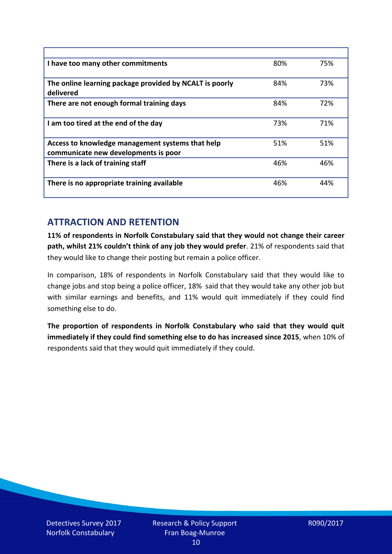| I have too many other commitments                                                        | 80% | 75% |
|------------------------------------------------------------------------------------------|-----|-----|
| The online learning package provided by NCALT is poorly<br>delivered                     | 84% | 73% |
| There are not enough formal training days                                                | 84% | 72% |
| I am too tired at the end of the day                                                     | 73% | 71% |
| Access to knowledge management systems that help<br>communicate new developments is poor | 51% | 51% |
| There is a lack of training staff                                                        | 46% | 46% |
| There is no appropriate training available                                               | 46% | 44% |

# **ATTRACTION AND RETENTION**

**11% of respondents in Norfolk Constabulary said that they would not change their career path, whilst 21% couldn't think of any job they would prefer**. 21% of respondents said that they would like to change their posting but remain a police officer.

In comparison, 18% of respondents in Norfolk Constabulary said that they would like to change jobs and stop being a police officer, 18% said that they would take any other job but with similar earnings and benefits, and 11% would quit immediately if they could find something else to do.

**The proportion of respondents in Norfolk Constabulary who said that they would quit immediately if they could find something else to do has increased since 2015**, when 10% of respondents said that they would quit immediately if they could.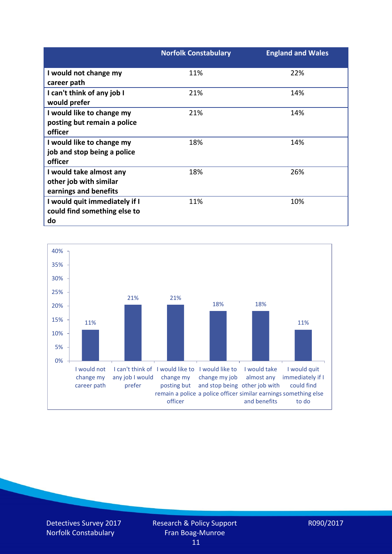|                               | <b>Norfolk Constabulary</b> | <b>England and Wales</b> |
|-------------------------------|-----------------------------|--------------------------|
| I would not change my         | 11%                         | 22%                      |
| career path                   |                             |                          |
| I can't think of any job I    | 21%                         | 14%                      |
| would prefer                  |                             |                          |
| I would like to change my     | 21%                         | 14%                      |
| posting but remain a police   |                             |                          |
| officer                       |                             |                          |
| I would like to change my     | 18%                         | 14%                      |
| job and stop being a police   |                             |                          |
| officer                       |                             |                          |
| I would take almost any       | 18%                         | 26%                      |
| other job with similar        |                             |                          |
| earnings and benefits         |                             |                          |
| I would quit immediately if I | 11%                         | 10%                      |
| could find something else to  |                             |                          |
| do                            |                             |                          |